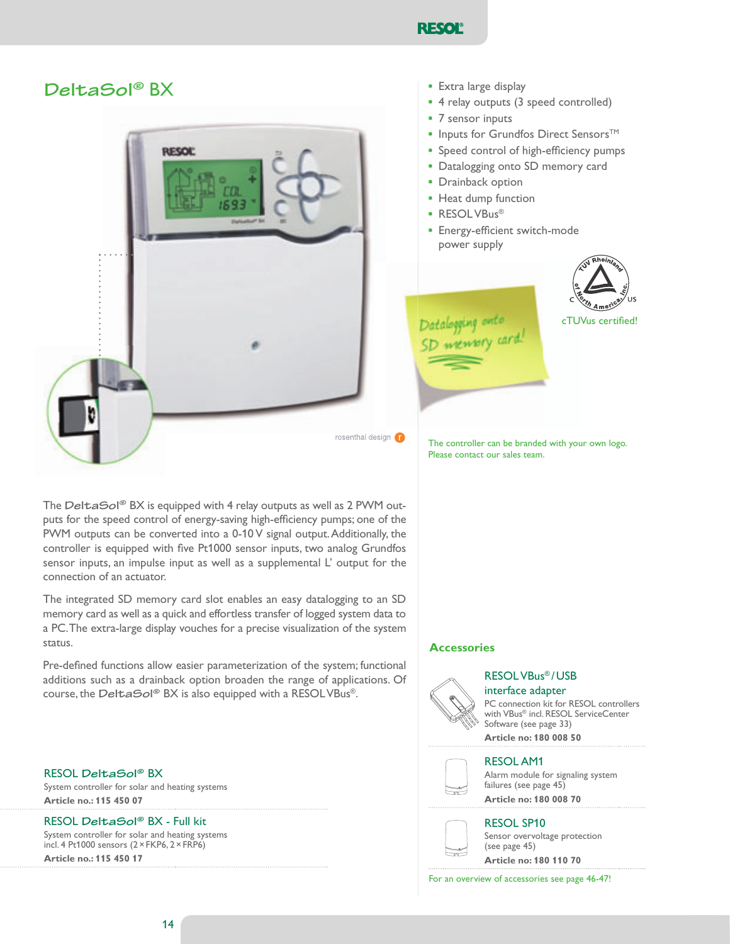

# DeltaSol<sup>®</sup> BX



The Delta Sol® BX is equipped with 4 relay outputs as well as 2 PWM outputs for the speed control of energy-saving high-efficiency pumps; one of the PWM outputs can be converted into a 0-10 V signal output. Additionally, the controller is equipped with five Pt1000 sensor inputs, two analog Grundfos sensor inputs, an impulse input as well as a supplemental L' output for the connection of an actuator.

The integrated SD memory card slot enables an easy datalogging to an SD memory card as well as a quick and effortless transfer of logged system data to a PC. The extra-large display vouches for a precise visualization of the system status.

Pre-defined functions allow easier parameterization of the system; functional additions such as a drainback option broaden the range of applications. Of course, the Delta Sol® BX is also equipped with a RESOL VBus®.

RESOL DeltaSol® BX System controller for solar and heating systems **Article no.: 115 450 07**

RESOL DeltaSol® BX - Full kit

System controller for solar and heating systems incl. 4 Pt1000 sensors  $(2 \times$  FKP6,  $2 \times$  FRP6) **Article no.: 115 450 17**

- **•** Extra large display
- 4 relay outputs (3 speed controlled)
- **■** 7 sensor inputs
- **▪** Inputs for Grundfos Direct Sensors™
- **.** Speed control of high-efficiency pumps
- **•** Datalogging onto SD memory card
- **•** Drainback option
- **•** Heat dump function
- **•** RESOLVBus®
- **Energy-efficient switch-mode** power supply



Datalogging onto<br>SD weewory card

The controller can be branded with your own logo. Please contact our sales team.

# **Accessories**



RESOL VBus<sup>®</sup>/USB interface adapter

PC connection kit for RESOL controllers with VBus® incl. RESOL ServiceCenter Software (see page 33)

**Article no: 180 008 50**



# **RESOL AM1**

Alarm module for signaling system failures (see page 45) **Article no: 180 008 70**

# **RESOL SP10**



Sensor overvoltage protection (see page 45)

**Article no: 180 110 70**

For an overview of accessories see page 46-47!